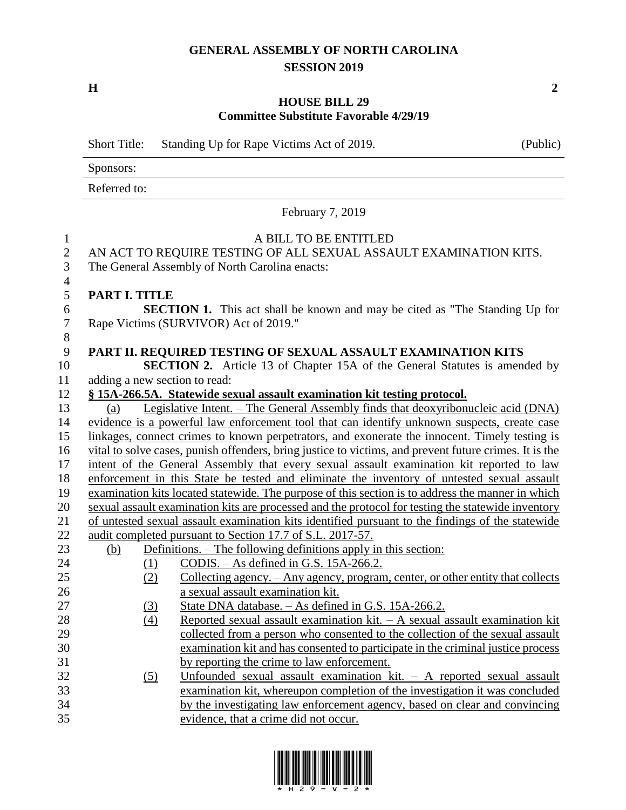## **GENERAL ASSEMBLY OF NORTH CAROLINA SESSION 2019**

**H 2**

## **HOUSE BILL 29 Committee Substitute Favorable 4/29/19**

Short Title: Standing Up for Rape Victims Act of 2019. (Public)

Sponsors:

Referred to:

February 7, 2019

## A BILL TO BE ENTITLED 2 AN ACT TO REQUIRE TESTING OF ALL SEXUAL ASSAULT EXAMINATION KITS.<br>3 The General Assembly of North Carolina enacts: The General Assembly of North Carolina enacts: **PART I. TITLE SECTION 1.** This act shall be known and may be cited as "The Standing Up for Rape Victims (SURVIVOR) Act of 2019." **PART II. REQUIRED TESTING OF SEXUAL ASSAULT EXAMINATION KITS SECTION 2.** Article 13 of Chapter 15A of the General Statutes is amended by adding a new section to read: **§ 15A-266.5A. Statewide sexual assault examination kit testing protocol.** (a) Legislative Intent. – The General Assembly finds that deoxyribonucleic acid (DNA) evidence is a powerful law enforcement tool that can identify unknown suspects, create case linkages, connect crimes to known perpetrators, and exonerate the innocent. Timely testing is vital to solve cases, punish offenders, bring justice to victims, and prevent future crimes. It is the intent of the General Assembly that every sexual assault examination kit reported to law enforcement in this State be tested and eliminate the inventory of untested sexual assault examination kits located statewide. The purpose of this section is to address the manner in which sexual assault examination kits are processed and the protocol for testing the statewide inventory of untested sexual assault examination kits identified pursuant to the findings of the statewide audit completed pursuant to Section 17.7 of S.L. 2017-57. (b) Definitions. – The following definitions apply in this section: (1) CODIS. – As defined in G.S. 15A-266.2. (2) Collecting agency. – Any agency, program, center, or other entity that collects a sexual assault examination kit. (3) State DNA database. – As defined in G.S. 15A-266.2. (4) Reported sexual assault examination kit. – A sexual assault examination kit collected from a person who consented to the collection of the sexual assault examination kit and has consented to participate in the criminal justice process by reporting the crime to law enforcement. (5) Unfounded sexual assault examination kit. – A reported sexual assault examination kit, whereupon completion of the investigation it was concluded by the investigating law enforcement agency, based on clear and convincing evidence, that a crime did not occur.

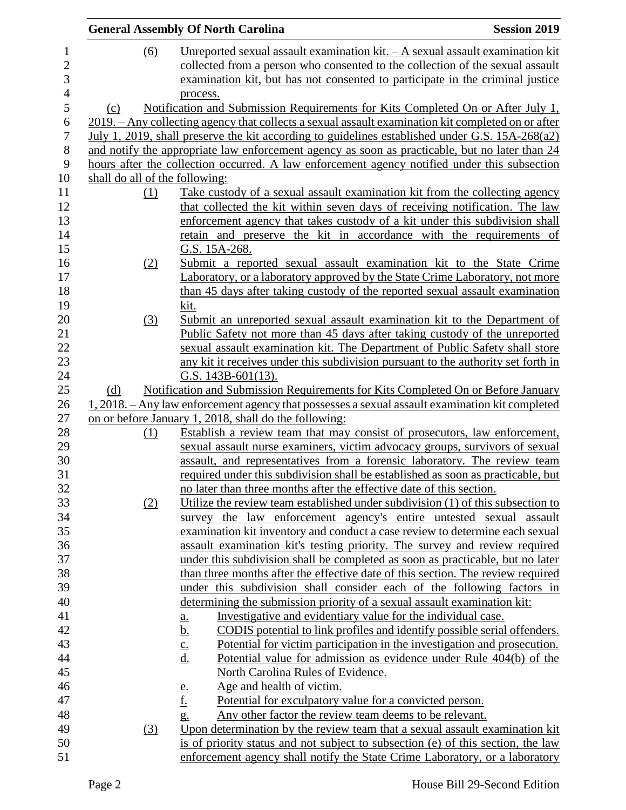|     |            | <b>General Assembly Of North Carolina</b>                                                              | <b>Session 2019</b> |
|-----|------------|--------------------------------------------------------------------------------------------------------|---------------------|
|     | (6)        | Unreported sexual assault examination $kit. - A$ sexual assault examination kit                        |                     |
|     |            | collected from a person who consented to the collection of the sexual assault                          |                     |
|     |            | examination kit, but has not consented to participate in the criminal justice                          |                     |
|     |            | process.                                                                                               |                     |
| (c) |            | Notification and Submission Requirements for Kits Completed On or After July 1,                        |                     |
|     |            | 2019. – Any collecting agency that collects a sexual assault examination kit completed on or after     |                     |
|     |            | July 1, 2019, shall preserve the kit according to guidelines established under G.S. 15A-268(a2)        |                     |
|     |            | and notify the appropriate law enforcement agency as soon as practicable, but no later than 24         |                     |
|     |            | hours after the collection occurred. A law enforcement agency notified under this subsection           |                     |
|     |            | shall do all of the following:                                                                         |                     |
|     | (1)        | Take custody of a sexual assault examination kit from the collecting agency                            |                     |
|     |            | that collected the kit within seven days of receiving notification. The law                            |                     |
|     |            |                                                                                                        |                     |
|     |            | enforcement agency that takes custody of a kit under this subdivision shall                            |                     |
|     |            | retain and preserve the kit in accordance with the requirements of                                     |                     |
|     |            | G.S. 15A-268.                                                                                          |                     |
|     | <u>(2)</u> | Submit a reported sexual assault examination kit to the State Crime                                    |                     |
|     |            | Laboratory, or a laboratory approved by the State Crime Laboratory, not more                           |                     |
|     |            | than 45 days after taking custody of the reported sexual assault examination                           |                     |
|     |            | kit.                                                                                                   |                     |
|     | (3)        | Submit an unreported sexual assault examination kit to the Department of                               |                     |
|     |            | Public Safety not more than 45 days after taking custody of the unreported                             |                     |
|     |            | sexual assault examination kit. The Department of Public Safety shall store                            |                     |
|     |            | any kit it receives under this subdivision pursuant to the authority set forth in                      |                     |
|     |            | G.S. $143B-601(13)$ .                                                                                  |                     |
| (d) |            | Notification and Submission Requirements for Kits Completed On or Before January                       |                     |
|     |            | 1, 2018. – Any law enforcement agency that possesses a sexual assault examination kit completed        |                     |
|     |            | on or before January 1, 2018, shall do the following:                                                  |                     |
|     | (1)        | Establish a review team that may consist of prosecutors, law enforcement,                              |                     |
|     |            | sexual assault nurse examiners, victim advocacy groups, survivors of sexual                            |                     |
|     |            | assault, and representatives from a forensic laboratory. The review team                               |                     |
|     |            | required under this subdivision shall be established as soon as practicable, but                       |                     |
|     |            | no later than three months after the effective date of this section.                                   |                     |
|     | (2)        | Utilize the review team established under subdivision (1) of this subsection to                        |                     |
|     |            | survey the law enforcement agency's entire untested sexual assault                                     |                     |
|     |            | examination kit inventory and conduct a case review to determine each sexual                           |                     |
|     |            | assault examination kit's testing priority. The survey and review required                             |                     |
|     |            | under this subdivision shall be completed as soon as practicable, but no later                         |                     |
|     |            | than three months after the effective date of this section. The review required                        |                     |
|     |            | under this subdivision shall consider each of the following factors in                                 |                     |
|     |            | determining the submission priority of a sexual assault examination kit:                               |                     |
|     |            | Investigative and evidentiary value for the individual case.<br><u>a.</u>                              |                     |
|     |            | $\underline{\mathbf{b}}$ .<br>CODIS potential to link profiles and identify possible serial offenders. |                     |
|     |            | Potential for victim participation in the investigation and prosecution.<br>$\underline{\mathbf{c}}$ . |                     |
|     |            | d.<br>Potential value for admission as evidence under Rule 404(b) of the                               |                     |
|     |            | North Carolina Rules of Evidence.                                                                      |                     |
|     |            | Age and health of victim.<br><u>e.</u>                                                                 |                     |
|     |            | <u>f.</u><br>Potential for exculpatory value for a convicted person.                                   |                     |
|     |            | Any other factor the review team deems to be relevant.<br>$g_{\cdot}$                                  |                     |
|     | (3)        | Upon determination by the review team that a sexual assault examination kit.                           |                     |
|     |            | is of priority status and not subject to subsection (e) of this section, the law                       |                     |
|     |            | enforcement agency shall notify the State Crime Laboratory, or a laboratory                            |                     |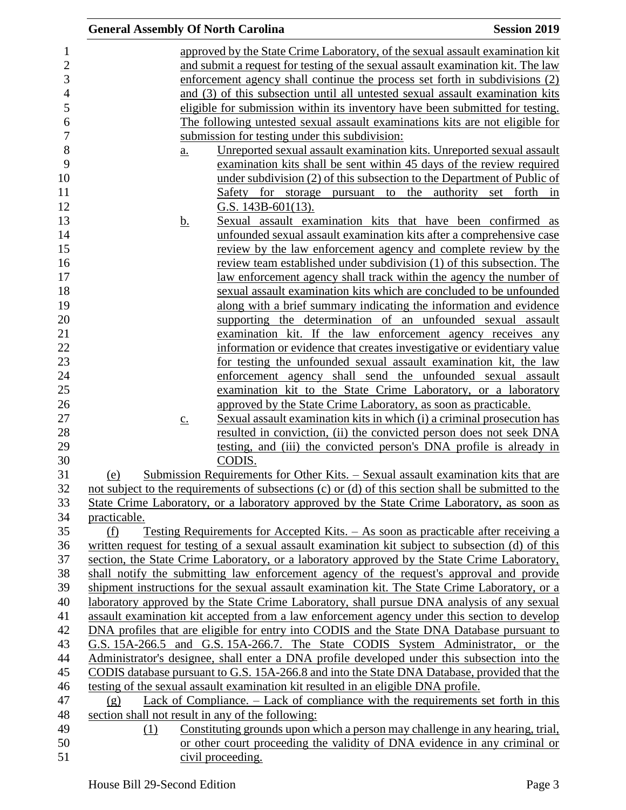| <b>General Assembly Of North Carolina</b>         |                                                                                                     | <b>Session 2019</b> |
|---------------------------------------------------|-----------------------------------------------------------------------------------------------------|---------------------|
|                                                   | approved by the State Crime Laboratory, of the sexual assault examination kit                       |                     |
|                                                   | and submit a request for testing of the sexual assault examination kit. The law                     |                     |
|                                                   | enforcement agency shall continue the process set forth in subdivisions (2)                         |                     |
|                                                   | and (3) of this subsection until all untested sexual assault examination kits                       |                     |
|                                                   | eligible for submission within its inventory have been submitted for testing.                       |                     |
|                                                   | The following untested sexual assault examinations kits are not eligible for                        |                     |
|                                                   | submission for testing under this subdivision:                                                      |                     |
| $a_{\cdot}$                                       | Unreported sexual assault examination kits. Unreported sexual assault                               |                     |
|                                                   | examination kits shall be sent within 45 days of the review required                                |                     |
|                                                   | under subdivision (2) of this subsection to the Department of Public of                             |                     |
|                                                   | Safety for storage pursuant to the authority set forth in                                           |                     |
|                                                   | G.S. $143B-601(13)$ .                                                                               |                     |
| <u>b.</u>                                         | Sexual assault examination kits that have been confirmed as                                         |                     |
|                                                   | unfounded sexual assault examination kits after a comprehensive case                                |                     |
|                                                   | review by the law enforcement agency and complete review by the                                     |                     |
|                                                   | review team established under subdivision (1) of this subsection. The                               |                     |
|                                                   | law enforcement agency shall track within the agency the number of                                  |                     |
|                                                   | sexual assault examination kits which are concluded to be unfounded                                 |                     |
|                                                   | along with a brief summary indicating the information and evidence                                  |                     |
|                                                   | supporting the determination of an unfounded sexual assault                                         |                     |
|                                                   | examination kit. If the law enforcement agency receives any                                         |                     |
|                                                   | information or evidence that creates investigative or evidentiary value                             |                     |
|                                                   | for testing the unfounded sexual assault examination kit, the law                                   |                     |
|                                                   | enforcement agency shall send the unfounded sexual assault                                          |                     |
|                                                   | examination kit to the State Crime Laboratory, or a laboratory                                      |                     |
|                                                   | approved by the State Crime Laboratory, as soon as practicable.                                     |                     |
| $\underline{c}$ .                                 | Sexual assault examination kits in which (i) a criminal prosecution has                             |                     |
|                                                   | resulted in conviction, (ii) the convicted person does not seek DNA                                 |                     |
|                                                   | testing, and (iii) the convicted person's DNA profile is already in                                 |                     |
|                                                   | CODIS.                                                                                              |                     |
| (e)                                               | <u>Submission Requirements for Other Kits. – Sexual assault examination kits that are</u>           |                     |
|                                                   | not subject to the requirements of subsections (c) or (d) of this section shall be submitted to the |                     |
|                                                   | State Crime Laboratory, or a laboratory approved by the State Crime Laboratory, as soon as          |                     |
| practicable.                                      |                                                                                                     |                     |
| (f)                                               | Testing Requirements for Accepted Kits. – As soon as practicable after receiving a                  |                     |
|                                                   | written request for testing of a sexual assault examination kit subject to subsection (d) of this   |                     |
|                                                   | section, the State Crime Laboratory, or a laboratory approved by the State Crime Laboratory,        |                     |
|                                                   | shall notify the submitting law enforcement agency of the request's approval and provide            |                     |
|                                                   | shipment instructions for the sexual assault examination kit. The State Crime Laboratory, or a      |                     |
|                                                   | laboratory approved by the State Crime Laboratory, shall pursue DNA analysis of any sexual          |                     |
|                                                   | assault examination kit accepted from a law enforcement agency under this section to develop        |                     |
|                                                   | DNA profiles that are eligible for entry into CODIS and the State DNA Database pursuant to          |                     |
|                                                   | G.S. 15A-266.5 and G.S. 15A-266.7. The State CODIS System Administrator, or the                     |                     |
|                                                   | Administrator's designee, shall enter a DNA profile developed under this subsection into the        |                     |
|                                                   | CODIS database pursuant to G.S. 15A-266.8 and into the State DNA Database, provided that the        |                     |
|                                                   | testing of the sexual assault examination kit resulted in an eligible DNA profile.                  |                     |
| (g)                                               | Lack of Compliance. – Lack of compliance with the requirements set forth in this                    |                     |
| section shall not result in any of the following: |                                                                                                     |                     |
| (1)                                               | Constituting grounds upon which a person may challenge in any hearing, trial,                       |                     |
|                                                   | or other court proceeding the validity of DNA evidence in any criminal or                           |                     |
|                                                   | civil proceeding.                                                                                   |                     |